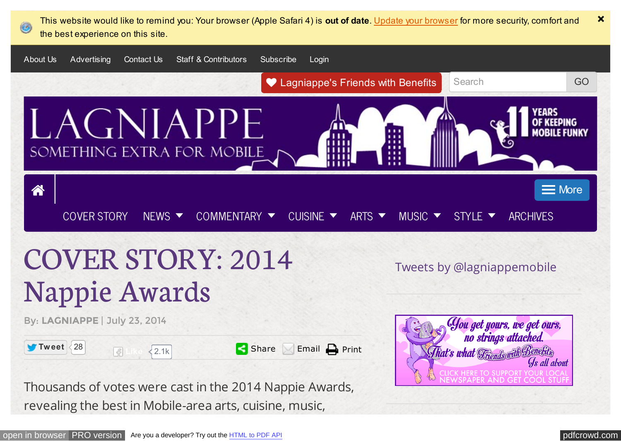<span id="page-0-0"></span>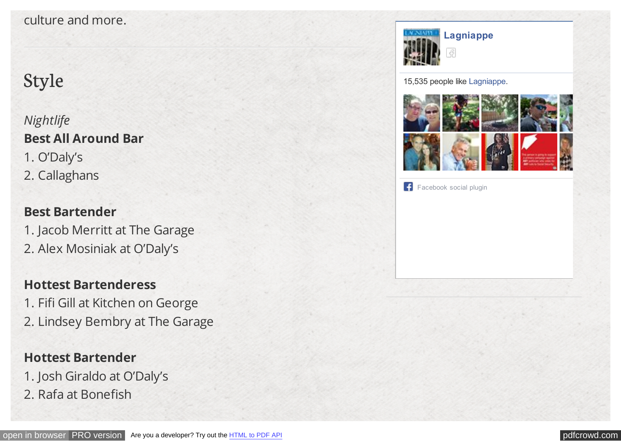#### culture and more.

# Style

*Nightlife* **Best All Around Bar** 1. O'Daly's 2. Callaghans

## **Best Bartender**

- 1. Jacob Merritt at The Garage
- 2. Alex Mosiniak at O'Daly's

## **Hottest Bartenderess**

- 1. Fifi Gill at Kitchen on George
- 2. Lindsey Bembry at The Garage

## **Hottest Bartender**

- 1. Josh Giraldo at O'Daly's
- 2. Rafa at Bonefish





[Facebook social plugin](https://www.facebook.com/help/?page=209089222464503)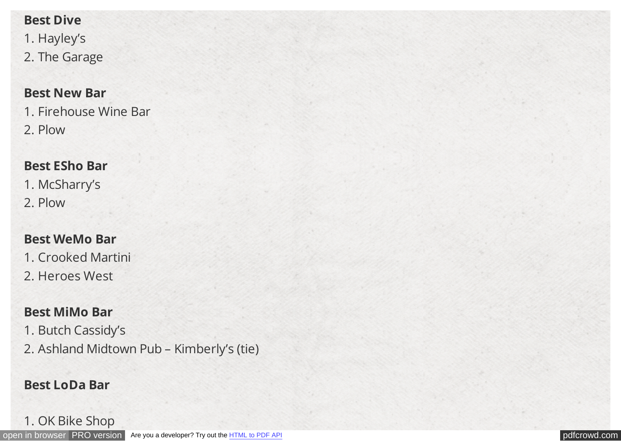#### **Best Dive**

1. Hayley's 2. The Garage

#### **Best New Bar**

1. Firehouse Wine Bar 2. Plow

#### **Best ESho Bar**

1. McSharry's 2. Plow

### **Best WeMo Bar**

1. Crooked Martini

2. Heroes West

### **Best MiMo Bar**

1. Butch Cassidy's

2. Ashland Midtown Pub – Kimberly's (tie)

### **Best LoDa Bar**

#### 1. OK Bike Shop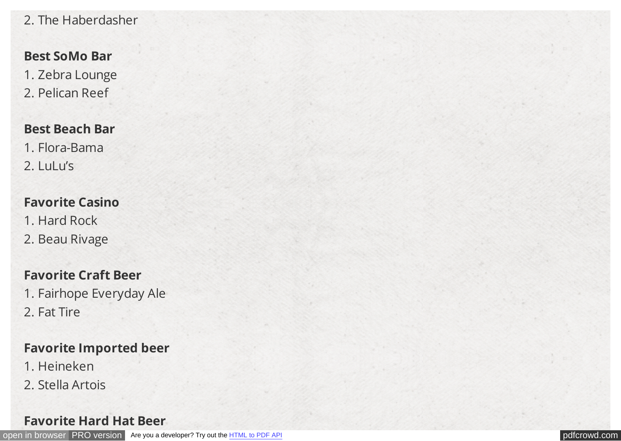### 2. The Haberdasher

### **Best SoMo Bar**

1. Zebra Lounge 2. Pelican Reef

#### **Best Beach Bar**

- 1. Flora-Bama
- 2. LuLu's

### **Favorite Casino**

- 1. Hard Rock
- 2. Beau Rivage

### **Favorite Craft Beer**

- 1. Fairhope Everyday Ale
- 2. Fat Tire

### **Favorite Imported beer**

- 1. Heineken
- 2. Stella Artois

#### **Favorite Hard Hat Beer**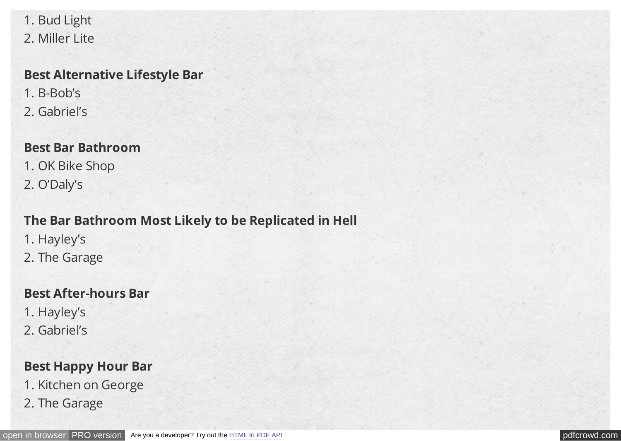1. Bud Light 2. Miller Lite

#### **Best Alternative Lifestyle Bar**

- 1. B-Bob's
- 2. Gabriel's

#### **Best Bar Bathroom**

- 1. OK Bike Shop
- 2. O'Daly's

## **The Bar Bathroom Most Likely to be Replicated in Hell**

- 1. Hayley's
- 2. The Garage

### **Best After-hours Bar**

- 1. Hayley's
- 2. Gabriel's

## **Best Happy Hour Bar**

- 1. Kitchen on George
- 2. The Garage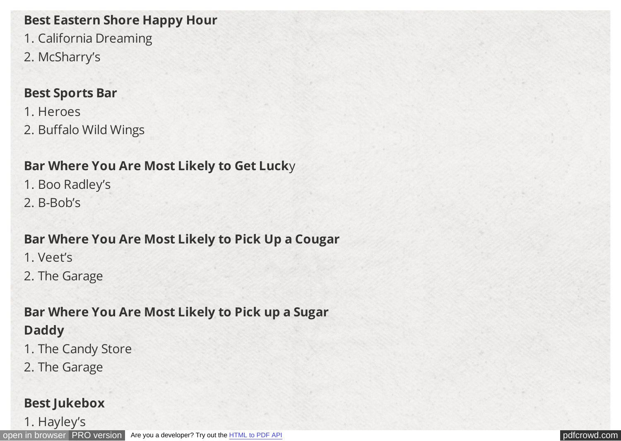### **Best Eastern Shore Happy Hour**

- 1. California Dreaming
- 2. McSharry's

### **Best Sports Bar**

- 1. Heroes
- 2. Buffalo Wild Wings

## **Bar Where You Are Most Likely to Get Luck**y

- 1. Boo Radley's
- 2. B-Bob's

## **Bar Where You Are Most Likely to Pick Up a Cougar**

- 1. Veet's
- 2. The Garage

## **Bar Where You Are Most Likely to Pick up a Sugar Daddy**

- 1. The Candy Store
- 2. The Garage

## **Best Jukebox**

1. Hayley's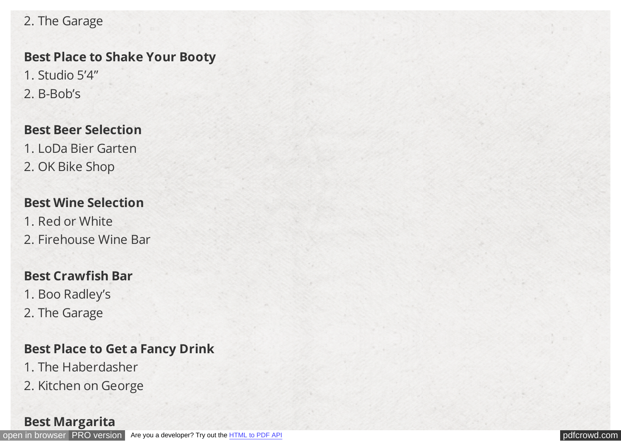#### 2. The Garage

#### **Best Place to Shake Your Booty**

1. Studio 5'4" 2. B-Bob's

#### **Best Beer Selection**

1. LoDa Bier Garten 2. OK Bike Shop

#### **Best Wine Selection**

- 1. Red or White
- 2. Firehouse Wine Bar

### **Best Crawfish Bar**

- 1. Boo Radley's
- 2. The Garage

## **Best Place to Get a Fancy Drink**

- 1. The Haberdasher
- 2. Kitchen on George

#### **Best Margarita**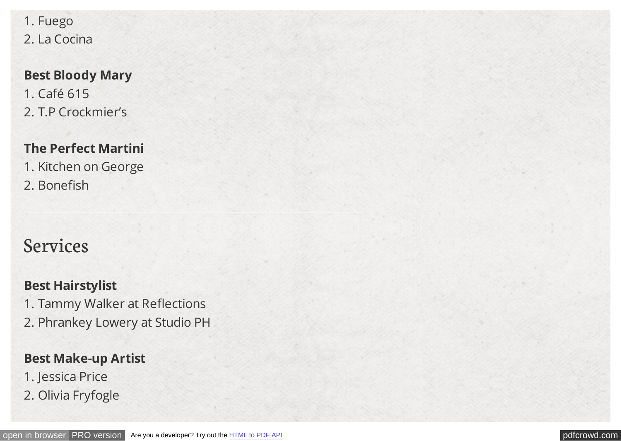1. Fuego 2. La Cocina

## **Best Bloody Mary** 1. Café 615 2. T.P Crockmier's

## **The Perfect Martini**

1. Kitchen on George 2. Bonefish

# Services

## **Best Hairstylist**

1. Tammy Walker at Reflections

2. Phrankey Lowery at Studio PH

## **Best Make-up Artist**

- 1. Jessica Price
- 2. Olivia Fryfogle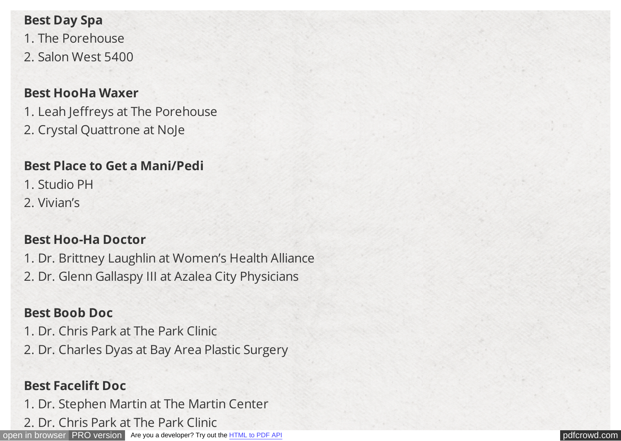#### **Best Day Spa**

1. The Porehouse 2. Salon West 5400

#### **Best HooHa Waxer**

1. Leah Jeffreys at The Porehouse 2. Crystal Quattrone at NoJe

## **Best Place to Get a Mani/Pedi**

1. Studio PH

2. Vivian's

### **Best Hoo-Ha Doctor**

1. Dr. Brittney Laughlin at Women's Health Alliance 2. Dr. Glenn Gallaspy III at Azalea City Physicians

## **Best Boob Doc**

1. Dr. Chris Park at The Park Clinic

2. Dr. Charles Dyas at Bay Area Plastic Surgery

## **Best Facelift Doc**

1. Dr. Stephen Martin at The Martin Center

2. Dr. Chris Park at The Park Clinic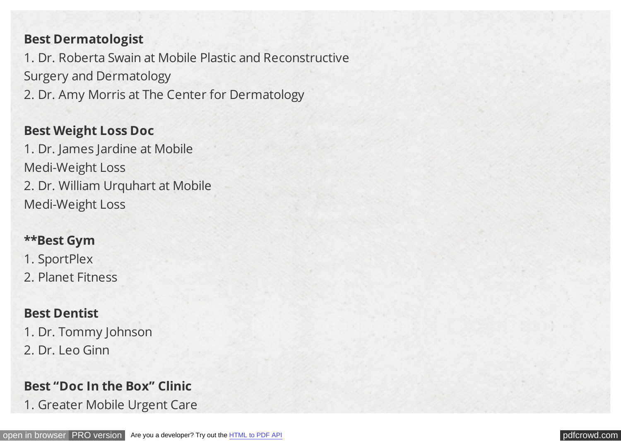#### **Best Dermatologist**

1. Dr. Roberta Swain at Mobile Plastic and Reconstructive Surgery and Dermatology

2. Dr. Amy Morris at The Center for Dermatology

#### **Best Weight Loss Doc**

1. Dr. James Jardine at Mobile Medi-Weight Loss 2. Dr. William Urquhart at Mobile Medi-Weight Loss

#### **\*\*Best Gym**

1. SportPlex

2. Planet Fitness

#### **Best Dentist**

1. Dr. Tommy Johnson 2. Dr. Leo Ginn

#### **Best "Doc In the Box" Clinic**

1. Greater Mobile Urgent Care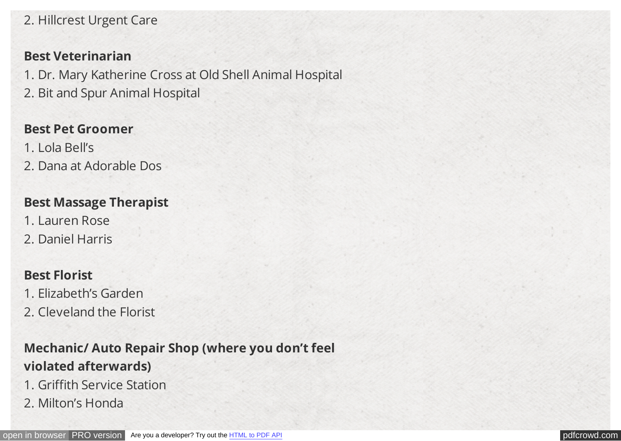### 2. Hillcrest Urgent Care

#### **Best Veterinarian**

1. Dr. Mary Katherine Cross at Old Shell Animal Hospital

2. Bit and Spur Animal Hospital

#### **Best Pet Groomer**

- 1. Lola Bell's
- 2. Dana at Adorable Dos

### **Best Massage Therapist**

- 1. Lauren Rose
- 2. Daniel Harris

### **Best Florist**

- 1. Elizabeth's Garden
- 2. Cleveland the Florist

## **Mechanic/ Auto Repair Shop (where you don't feel violated afterwards)**

- 1. Griffith Service Station
- 2. Milton's Honda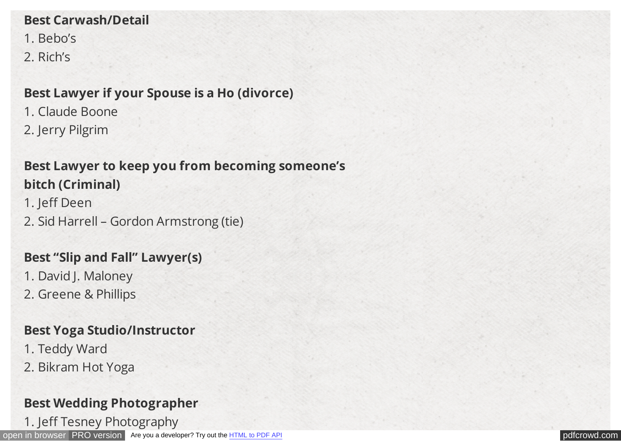#### **Best Carwash/Detail**

- 1. Bebo's
- 2. Rich's

## **Best Lawyer if your Spouse is a Ho (divorce)**

- 1. Claude Boone
- 2. Jerry Pilgrim

## **Best Lawyer to keep you from becoming someone's bitch (Criminal)**

- 1. Jeff Deen
- 2. Sid Harrell Gordon Armstrong (tie)

## **Best "Slip and Fall" Lawyer(s)**

- 1. David J. Maloney
- 2. Greene & Phillips

## **Best Yoga Studio/Instructor**

- 1. Teddy Ward
- 2. Bikram Hot Yoga

## **Best Wedding Photographer**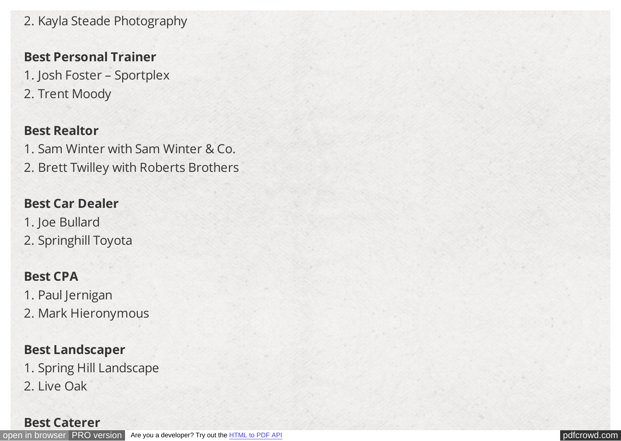2. Kayla Steade Photography

#### **Best Personal Trainer**

- 1. Josh Foster Sportplex
- 2. Trent Moody

#### **Best Realtor**

1. Sam Winter with Sam Winter & Co. 2. Brett Twilley with Roberts Brothers

### **Best Car Dealer**

- 1. Joe Bullard
- 2. Springhill Toyota

## **Best CPA**

- 1. Paul Jernigan
- 2. Mark Hieronymous

## **Best Landscaper**

- 1. Spring Hill Landscape
- 2. Live Oak

#### **Best Caterer**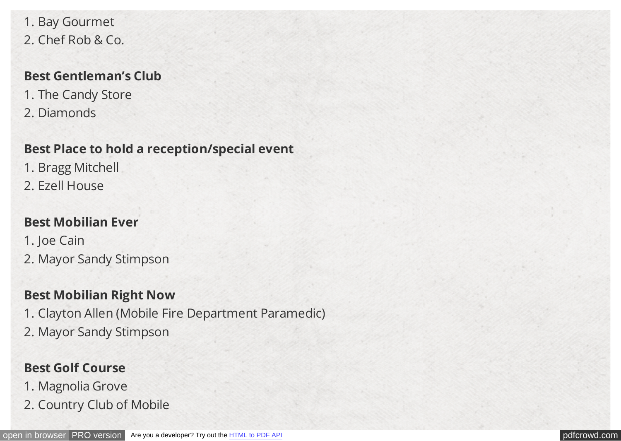1. Bay Gourmet 2. Chef Rob & Co.

#### **Best Gentleman's Club**

- 1. The Candy Store
- 2. Diamonds

## **Best Place to hold a reception/special event**

- 1. Bragg Mitchell
- 2. Ezell House

## **Best Mobilian Ever**

1. Joe Cain 2. Mayor Sandy Stimpson

## **Best Mobilian Right Now**

1. Clayton Allen (Mobile Fire Department Paramedic) 2. Mayor Sandy Stimpson

## **Best Golf Course**

- 1. Magnolia Grove
- 2. Country Club of Mobile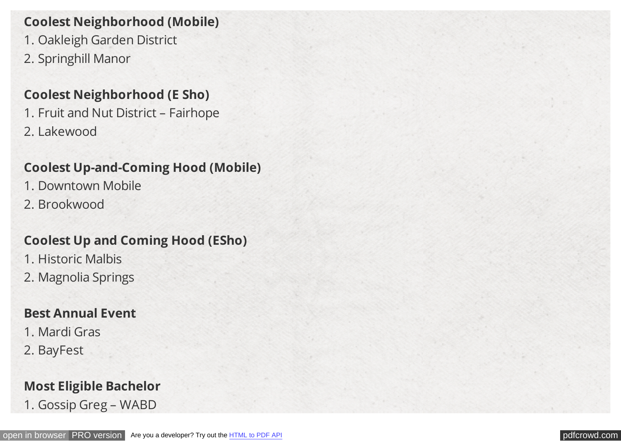## **Coolest Neighborhood (Mobile)**

- 1. Oakleigh Garden District
- 2. Springhill Manor

#### **Coolest Neighborhood (E Sho)**

1. Fruit and Nut District – Fairhope 2. Lakewood

#### **Coolest Up-and-Coming Hood (Mobile)**

- 1. Downtown Mobile
- 2. Brookwood

#### **Coolest Up and Coming Hood (ESho)**

- 1. Historic Malbis
- 2. Magnolia Springs

#### **Best Annual Event**

- 1. Mardi Gras
- 2. BayFest

### **Most Eligible Bachelor**

1. Gossip Greg – WABD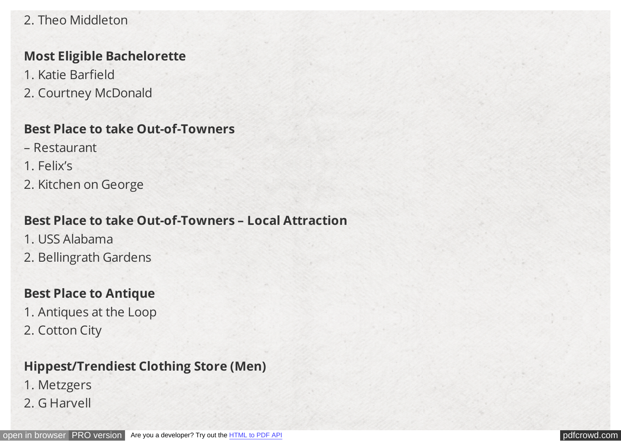### 2. Theo Middleton

#### **Most Eligible Bachelorette**

- 1. Katie Barfield
- 2. Courtney McDonald

#### **Best Place to take Out-of-Towners**

- Restaurant
- 1. Felix's
- 2. Kitchen on George

## **Best Place to take Out-of-Towners – Local Attraction**

- 1. USS Alabama
- 2. Bellingrath Gardens

### **Best Place to Antique**

- 1. Antiques at the Loop
- 2. Cotton City

## **Hippest/Trendiest Clothing Store (Men)**

- 1. Metzgers
- 2. G Harvell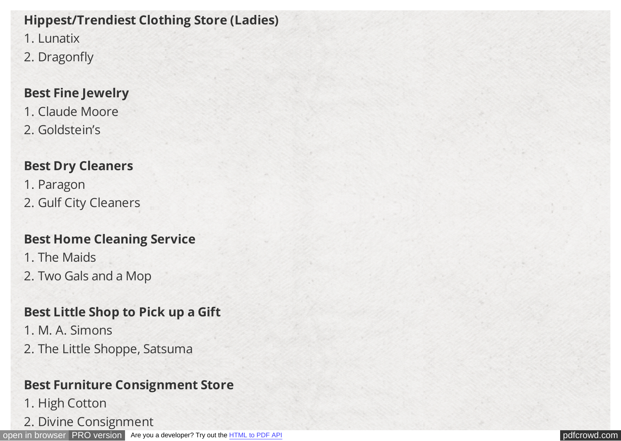## **Hippest/Trendiest Clothing Store (Ladies)**

1. Lunatix

2. Dragonfly

## **Best Fine Jewelry**

1. Claude Moore 2. Goldstein's

## **Best Dry Cleaners**

1. Paragon 2. Gulf City Cleaners

## **Best Home Cleaning Service**

- 1. The Maids
- 2. Two Gals and a Mop

## **Best Little Shop to Pick up a Gift**

- 1. M. A. Simons
- 2. The Little Shoppe, Satsuma

## **Best Furniture Consignment Store**

- 1. High Cotton
- 2. Divine Consignment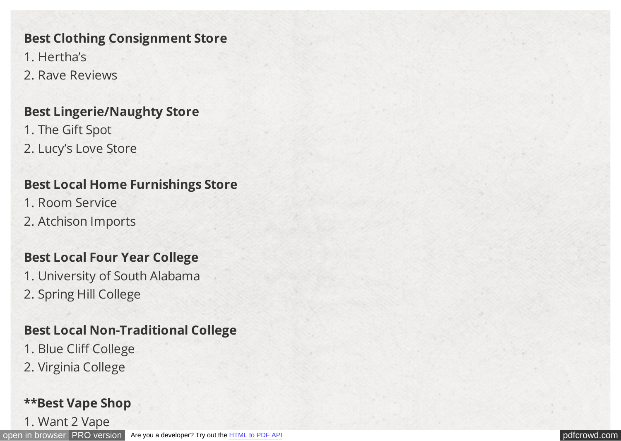### **Best Clothing Consignment Store**

- 1. Hertha's
- 2. Rave Reviews

## **Best Lingerie/Naughty Store**

1. The Gift Spot 2. Lucy's Love Store

## **Best Local Home Furnishings Store**

- 1. Room Service
- 2. Atchison Imports

## **Best Local Four Year College**

- 1. University of South Alabama
- 2. Spring Hill College

## **Best Local Non-Traditional College**

- 1. Blue Cliff College
- 2. Virginia College

## **\*\*Best Vape Shop**

1. Want 2 Vape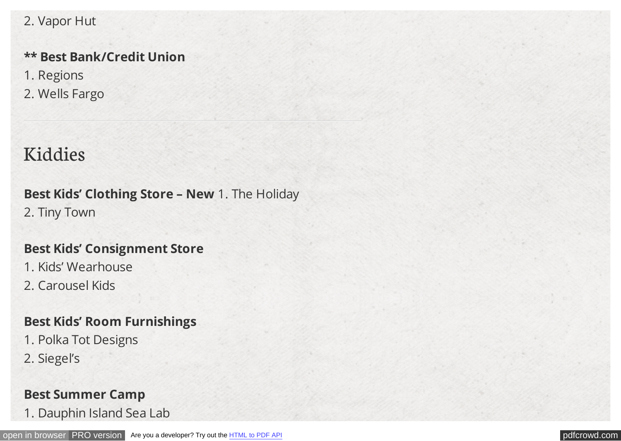#### 2. Vapor Hut

## **\*\* Best Bank/Credit Union**

- 1. Regions
- 2. Wells Fargo

# Kiddies

## **Best Kids' Clothing Store – New** 1. The Holiday 2. Tiny Town

#### **Best Kids' Consignment Store**

- 1. Kids' Wearhouse
- 2. Carousel Kids

## **Best Kids' Room Furnishings**

- 1. Polka Tot Designs
- 2. Siegel's

### **Best Summer Camp**

1. Dauphin Island Sea Lab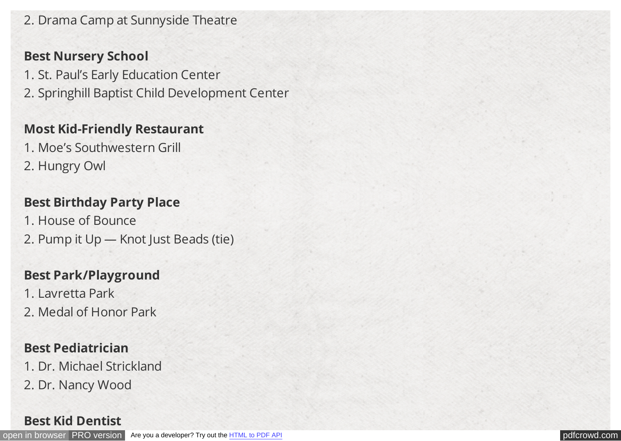2. Drama Camp at Sunnyside Theatre

#### **Best Nursery School**

- 1. St. Paul's Early Education Center
- 2. Springhill Baptist Child Development Center

### **Most Kid-Friendly Restaurant**

- 1. Moe's Southwestern Grill
- 2. Hungry Owl

## **Best Birthday Party Place**

- 1. House of Bounce
- 2. Pump it Up Knot Just Beads (tie)

## **Best Park/Playground**

- 1. Lavretta Park
- 2. Medal of Honor Park

## **Best Pediatrician**

- 1. Dr. Michael Strickland
- 2. Dr. Nancy Wood

### **Best Kid Dentist**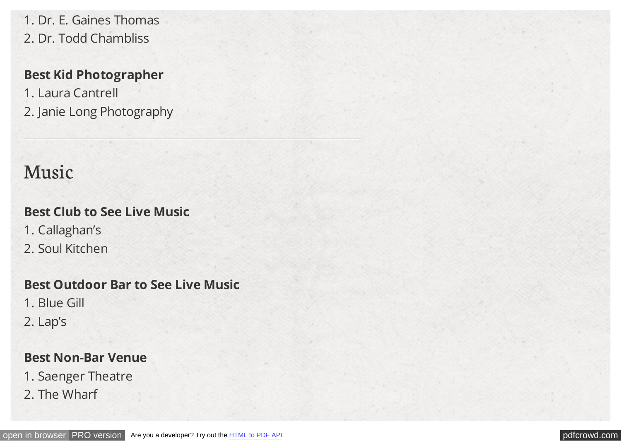1. Dr. E. Gaines Thomas 2. Dr. Todd Chambliss

### **Best Kid Photographer**

1. Laura Cantrell 2. Janie Long Photography

# Music

## **Best Club to See Live Music**

- 1. Callaghan's
- 2. Soul Kitchen

## **Best Outdoor Bar to See Live Music**

- 1. Blue Gill
- 2. Lap's

## **Best Non-Bar Venue**

- 1. Saenger Theatre
- 2. The Wharf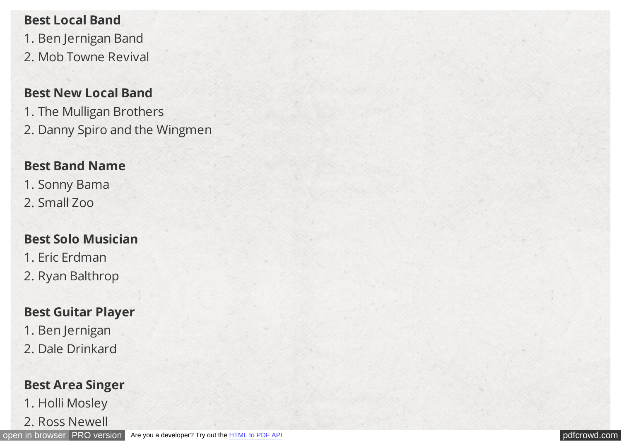#### **Best Local Band**

1. Ben Jernigan Band 2. Mob Towne Revival

### **Best New Local Band**

1. The Mulligan Brothers 2. Danny Spiro and the Wingmen

### **Best Band Name**

1. Sonny Bama 2. Small Zoo

## **Best Solo Musician**

1. Eric Erdman 2. Ryan Balthrop

## **Best Guitar Player**

- 1. Ben Jernigan
- 2. Dale Drinkard

## **Best Area Singer**

- 1. Holli Mosley
- 2. Ross Newell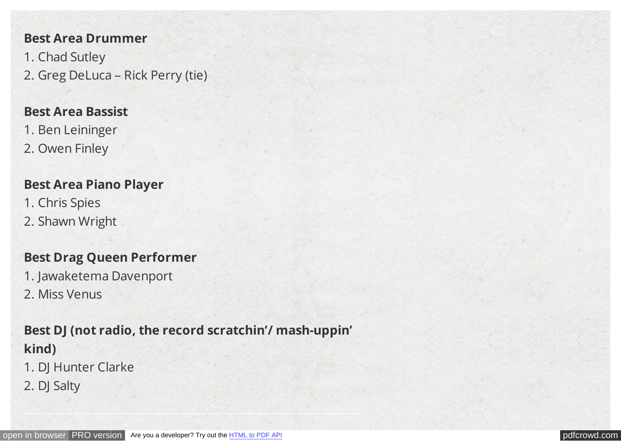#### **Best Area Drummer**

1. Chad Sutley 2. Greg DeLuca – Rick Perry (tie)

#### **Best Area Bassist**

- 1. Ben Leininger
- 2. Owen Finley

#### **Best Area Piano Player**

- 1. Chris Spies
- 2. Shawn Wright

## **Best Drag Queen Performer**

- 1. Jawaketema Davenport
- 2. Miss Venus

## **Best DJ (not radio, the record scratchin'/ mash-uppin' kind)**

- 1. DJ Hunter Clarke
- 2. DJ Salty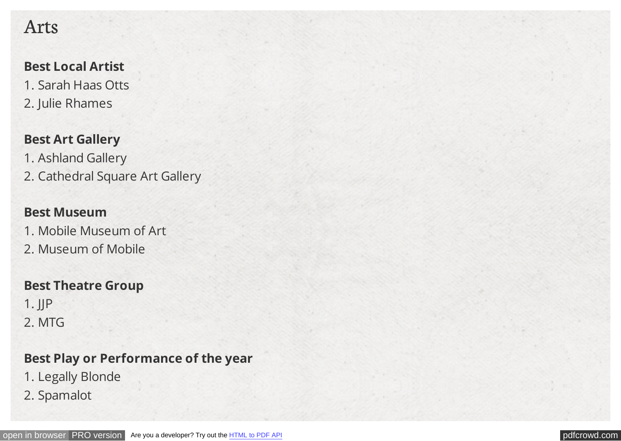## Arts

### **Best Local Artist**

- 1. Sarah Haas Otts
- 2. Julie Rhames

## **Best Art Gallery**

- 1. Ashland Gallery
- 2. Cathedral Square Art Gallery

## **Best Museum**

- 1. Mobile Museum of Art
- 2. Museum of Mobile

## **Best Theatre Group**

1. JJP 2. MTG

## **Best Play or Performance of the year**

- 1. Legally Blonde
- 2. Spamalot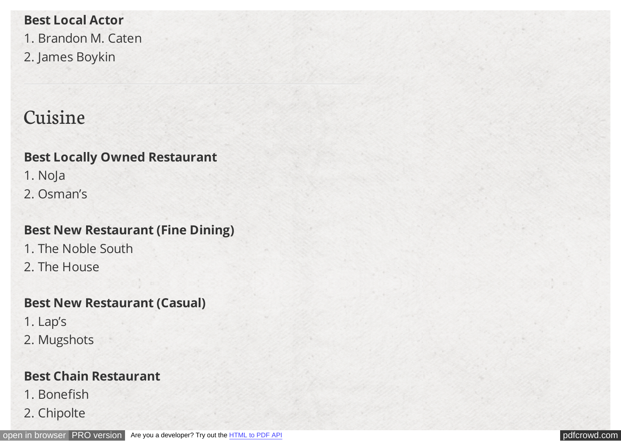**Best Local Actor** 1. Brandon M. Caten 2. James Boykin

# Cuisine

## **Best Locally Owned Restaurant**

- 1. NoJa
- 2. Osman's

## **Best New Restaurant (Fine Dining)**

- 1. The Noble South
- 2. The House

## **Best New Restaurant (Casual)**

- 1. Lap's
- 2. Mugshots

## **Best Chain Restaurant**

- 1. Bonefish
- 2. Chipolte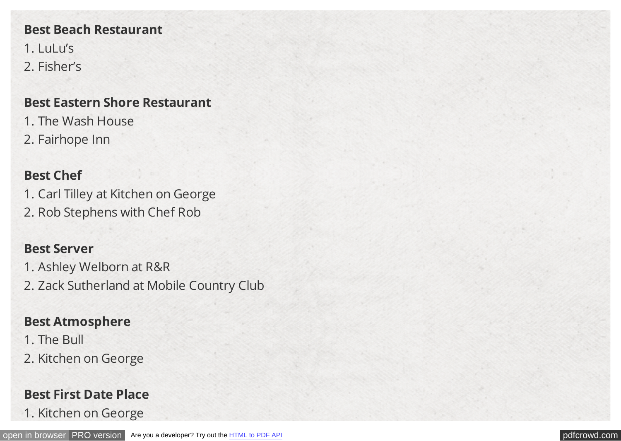#### **Best Beach Restaurant**

1. LuLu's 2. Fisher's

#### **Best Eastern Shore Restaurant**

- 1. The Wash House
- 2. Fairhope Inn

### **Best Chef**

1. Carl Tilley at Kitchen on George 2. Rob Stephens with Chef Rob

#### **Best Server**

- 1. Ashley Welborn at R&R
- 2. Zack Sutherland at Mobile Country Club

### **Best Atmosphere**

- 1. The Bull
- 2. Kitchen on George

## **Best First Date Place**

1. Kitchen on George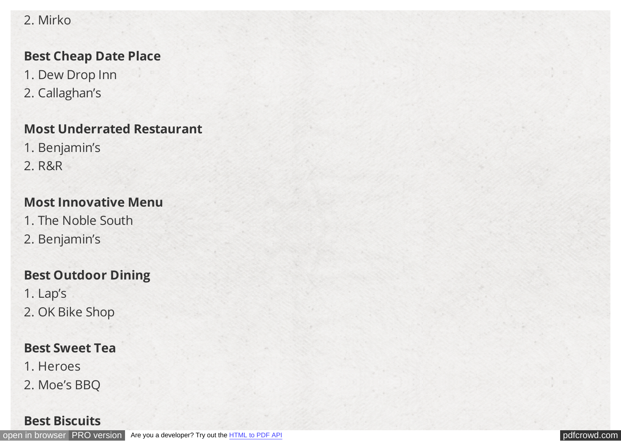### 2. Mirko

#### **Best Cheap Date Place**

- 1. Dew Drop Inn
- 2. Callaghan's

### **Most Underrated Restaurant**

- 1. Benjamin's
- 2. R&R

## **Most Innovative Menu**

- 1. The Noble South
- 2. Benjamin's

## **Best Outdoor Dining**

- 1. Lap's
- 2. OK Bike Shop

## **Best Sweet Tea**

- 1. Heroes
- 2. Moe's BBQ

### **Best Biscuits**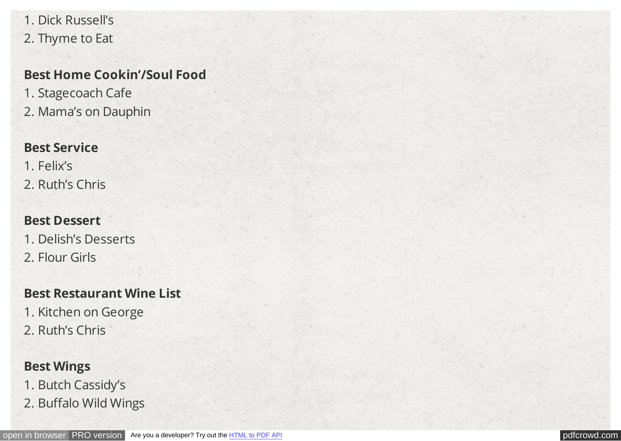1. Dick Russell's 2. Thyme to Eat

### **Best Home Cookin'/Soul Food**

1. Stagecoach Cafe 2. Mama's on Dauphin

### **Best Service**

- 1. Felix's
- 2. Ruth's Chris

## **Best Dessert**

- 1. Delish's Desserts
- 2. Flour Girls

## **Best Restaurant Wine List**

- 1. Kitchen on George
- 2. Ruth's Chris

## **Best Wings**

- 1. Butch Cassidy's
- 2. Buffalo Wild Wings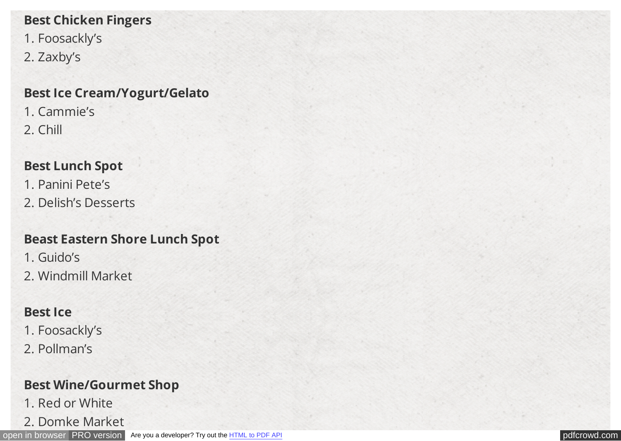## **Best Chicken Fingers**

- 1. Foosackly's
- 2. Zaxby's

## **Best Ice Cream/Yogurt/Gelato**

1. Cammie's 2. Chill

## **Best Lunch Spot**

- 1. Panini Pete's
- 2. Delish's Desserts

## **Beast Eastern Shore Lunch Spot**

- 1. Guido's
- 2. Windmill Market

## **Best Ice**

- 1. Foosackly's
- 2. Pollman's

## **Best Wine/Gourmet Shop**

- 1. Red or White
- 2. Domke Market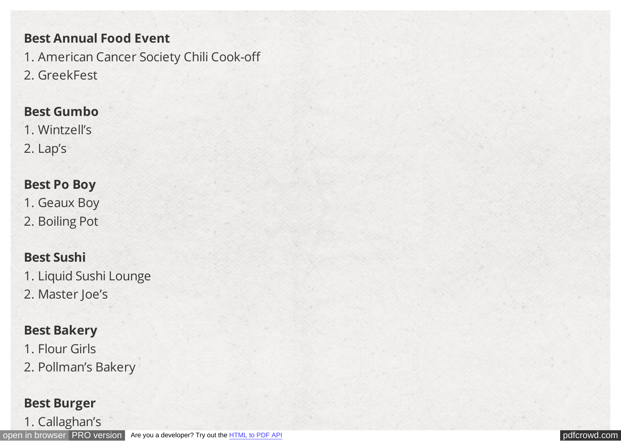#### **Best Annual Food Event**

1. American Cancer Society Chili Cook-off

2. GreekFest

#### **Best Gumbo**

1. Wintzell's 2. Lap's

#### **Best Po Boy**

1. Geaux Boy

2. Boiling Pot

## **Best Sushi**

1. Liquid Sushi Lounge

2. Master Joe's

## **Best Bakery**

1. Flour Girls

2. Pollman's Bakery

### **Best Burger**

1. Callaghan's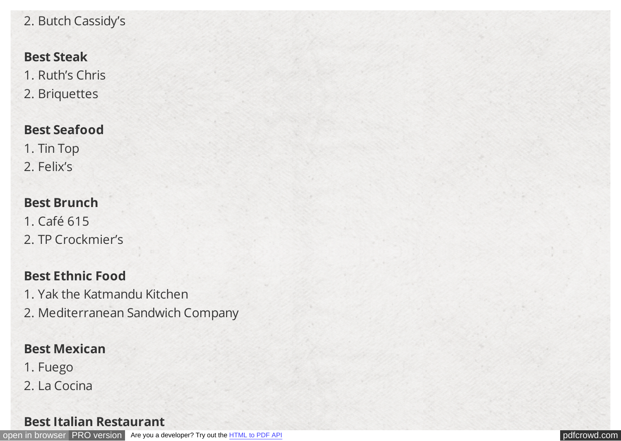## 2. Butch Cassidy's

#### **Best Steak**

1. Ruth's Chris 2. Briquettes

### **Best Seafood**

1. Tin Top 2. Felix's

#### **Best Brunch**

1. Café 615 2. TP Crockmier's

## **Best Ethnic Food**

- 1. Yak the Katmandu Kitchen
- 2. Mediterranean Sandwich Company

### **Best Mexican**

- 1. Fuego
- 2. La Cocina

#### **Best Italian Restaurant**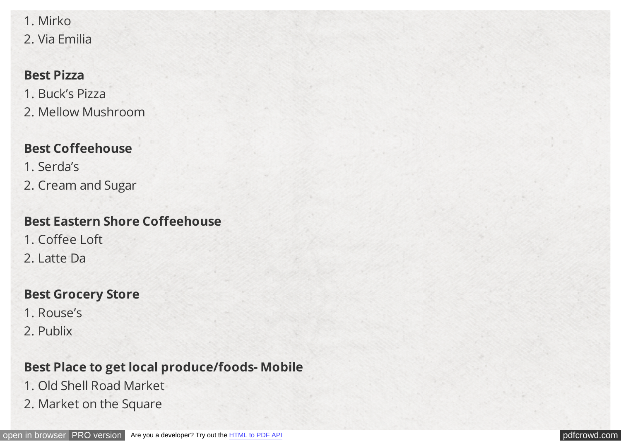1. Mirko 2. Via Emilia

#### **Best Pizza**

1. Buck's Pizza 2. Mellow Mushroom

## **Best Coffeehouse**

1. Serda's 2. Cream and Sugar

## **Best Eastern Shore Coffeehouse**

1. Coffee Loft 2. Latte Da

## **Best Grocery Store**

- 1. Rouse's
- 2. Publix

## **Best Place to get local produce/foods- Mobile**

- 1. Old Shell Road Market
- 2. Market on the Square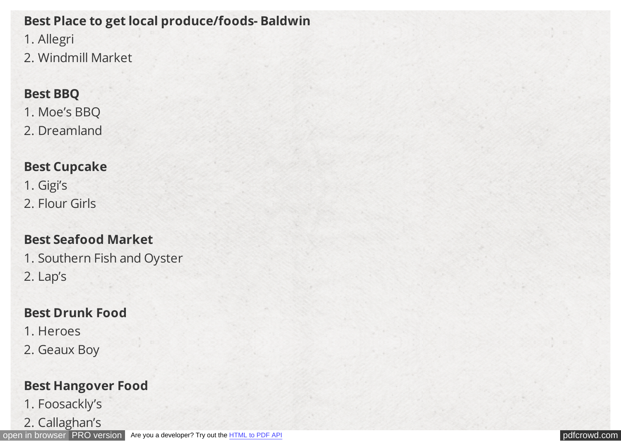## **Best Place to get local produce/foods- Baldwin**

1. Allegri

2. Windmill Market

### **Best BBQ**

1. Moe's BBQ

2. Dreamland

## **Best Cupcake**

1. Gigi's 2. Flour Girls

## **Best Seafood Market**

1. Southern Fish and Oyster 2. Lap's

## **Best Drunk Food**

1. Heroes

2. Geaux Boy

## **Best Hangover Food**

1. Foosackly's

2. Callaghan's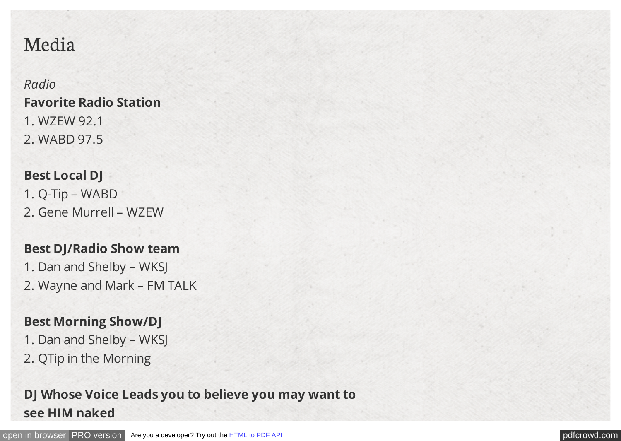# Media

*Radio* **Favorite Radio Station** 1. WZEW 92.1 2. WABD 97.5

## **Best Local DJ**

1. Q-Tip – WABD 2. Gene Murrell – WZEW

#### **Best DJ/Radio Show team**

1. Dan and Shelby – WKSJ 2. Wayne and Mark – FM TALK

## **Best Morning Show/DJ**

- 1. Dan and Shelby WKSJ
- 2. QTip in the Morning

## **DJ Whose Voice Leads you to believe you may want to see HIM naked**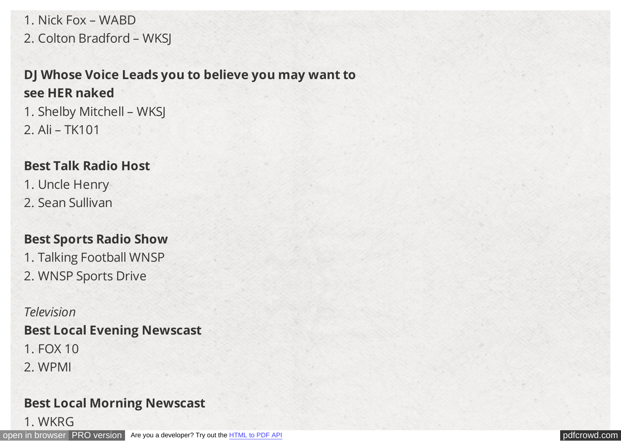1. Nick Fox – WABD 2. Colton Bradford – WKSJ

## **DJ Whose Voice Leads you to believe you may want to see HER naked**

1. Shelby Mitchell – WKSJ 2. Ali – TK101

### **Best Talk Radio Host**

- 1. Uncle Henry
- 2. Sean Sullivan

## **Best Sports Radio Show**

1. Talking Football WNSP 2. WNSP Sports Drive

*Television* **Best Local Evening Newscast**

- 1. FOX 10
- 2. WPMI

## **Best Local Morning Newscast**

1. WKRG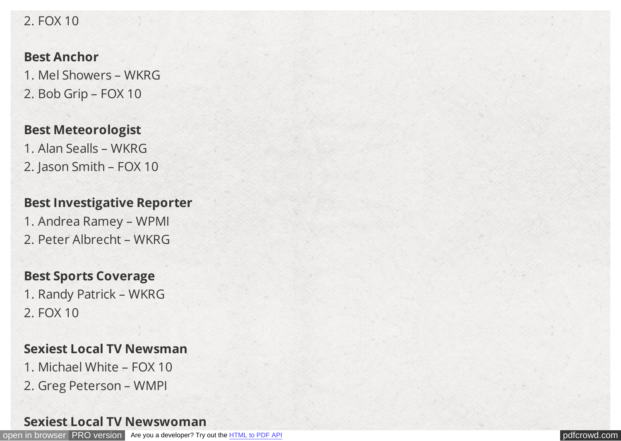#### 2. FOX 10

#### **Best Anchor**

1. Mel Showers – WKRG 2. Bob Grip – FOX 10

#### **Best Meteorologist**

1. Alan Sealls – WKRG 2. Jason Smith – FOX 10

#### **Best Investigative Reporter**

1. Andrea Ramey – WPMI 2. Peter Albrecht – WKRG

#### **Best Sports Coverage**

1. Randy Patrick – WKRG 2. FOX 10

### **Sexiest Local TV Newsman**

- 1. Michael White FOX 10
- 2. Greg Peterson WMPI

### **Sexiest Local TV Newswoman**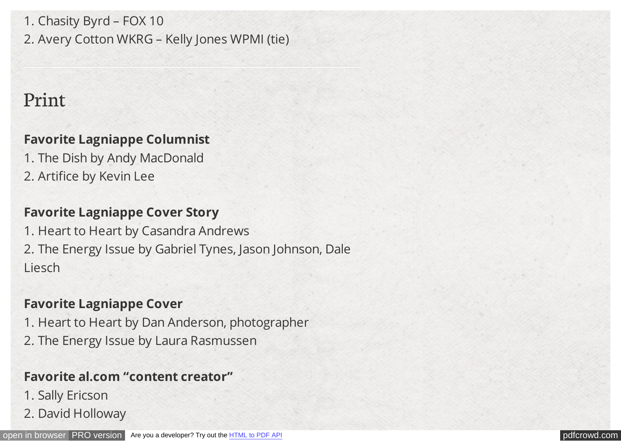1. Chasity Byrd – FOX 10 2. Avery Cotton WKRG – Kelly Jones WPMI (tie)

## Print

## **Favorite Lagniappe Columnist**

1. The Dish by Andy MacDonald 2. Artifice by Kevin Lee

### **Favorite Lagniappe Cover Story**

1. Heart to Heart by Casandra Andrews 2. The Energy Issue by Gabriel Tynes, Jason Johnson, Dale Liesch

### **Favorite Lagniappe Cover**

1. Heart to Heart by Dan Anderson, photographer

2. The Energy Issue by Laura Rasmussen

## **Favorite al.com "content creator"**

- 1. Sally Ericson
- 2. David Holloway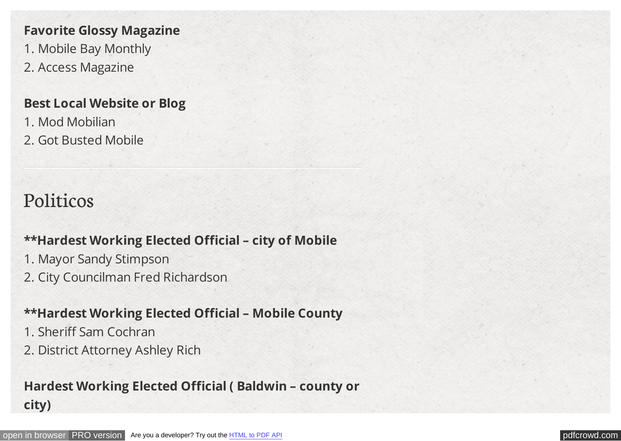#### **Favorite Glossy Magazine**

- 1. Mobile Bay Monthly
- 2. Access Magazine

#### **Best Local Website or Blog**

- 1. Mod Mobilian
- 2. Got Busted Mobile

# Politicos

### **\*\*Hardest Working Elected Official – city of Mobile**

- 1. Mayor Sandy Stimpson
- 2. City Councilman Fred Richardson

### **\*\*Hardest Working Elected Official – Mobile County**

- 1. Sheriff Sam Cochran
- 2. District Attorney Ashley Rich

## **Hardest Working Elected Official ( Baldwin – county or city)**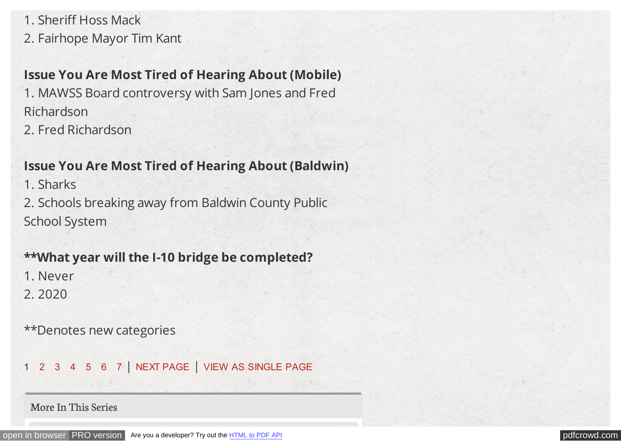1. Sheriff Hoss Mack

2. Fairhope Mayor Tim Kant

## **Issue You Are Most Tired of Hearing About (Mobile)**

1. MAWSS Board controversy with Sam Jones and Fred Richardson

2. Fred Richardson

## **Issue You Are Most Tired of Hearing About (Baldwin)**

1. Sharks

2. Schools breaking away from Baldwin County Public School System

## **\*\*What year will the I-10 bridge be completed?**

1. Never

2. 2020

\*\*Denotes new categories

1 [2](http://lagniappemobile.com/cover-2014-nappie-awards/2/) [3](http://lagniappemobile.com/cover-2014-nappie-awards/3/) [4](http://lagniappemobile.com/cover-2014-nappie-awards/4/) [5](http://lagniappemobile.com/cover-2014-nappie-awards/5/) [6](http://lagniappemobile.com/cover-2014-nappie-awards/6/) [7](http://lagniappemobile.com/cover-2014-nappie-awards/7/) | [NEXT PAGE](http://lagniappemobile.com/cover-2014-nappie-awards/2/) | [VIEW AS SINGLE PAGE](http://lagniappemobile.com/cover-2014-nappie-awards/?all=1)

More In This Series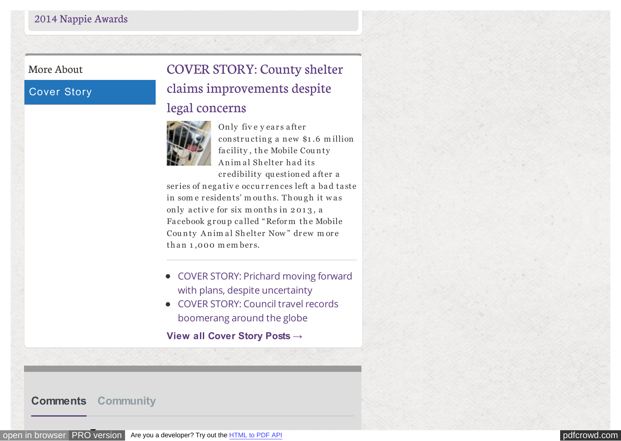#### More About

#### Cover Story

# [COVER STORY: County shelter](http://lagniappemobile.com/cover-story-county-shelter-claims-improvements-despite-legal-concerns/) claims improvements despite

#### legal concerns



Only five years after constructing a new \$1.6 million facility, the Mobile County Animal Shelter had its cr edibility qu estion ed a fter a

series of negative occurrences left a bad taste in some residents' mouths. Though it was only active for six m on ths in 2013, a Facebook group called "Reform the Mobile County Animal Shelter Now" drew more than 1,000 m embers.

- [COVER STORY: Prichard moving forward](http://lagniappemobile.com/cover-story-prichard-moving-forward-plans-despite-uncertainty/) with plans, despite uncertainty
- [COVER STORY: Council travel records](http://lagniappemobile.com/cover-story-council-travel-records-boomerang-around-globe/) boomerang around the globe

**[View all Cover Story Posts →](http://lagniappemobile.com/category/cover/)**

#### **[Comments](#page-0-0) [Community](#page-0-0)**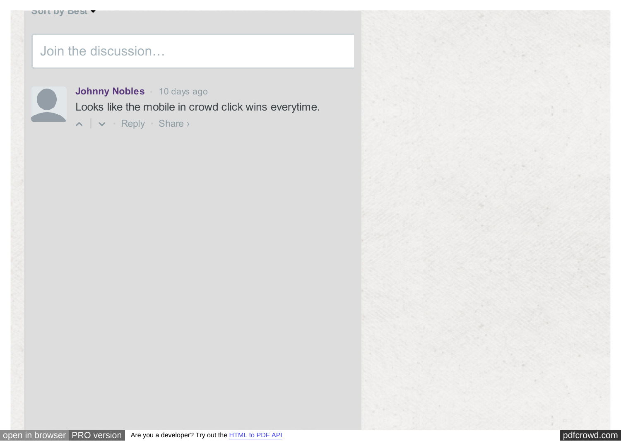#### Join the discussion…



**[Johnny Nobles](#page-0-0)** • [10 days ago](#page-0-0) [Loo](#page-0-0)ks like the mobile in crowd click wins everytime.

• [Reply](#page-0-0) • Share ›

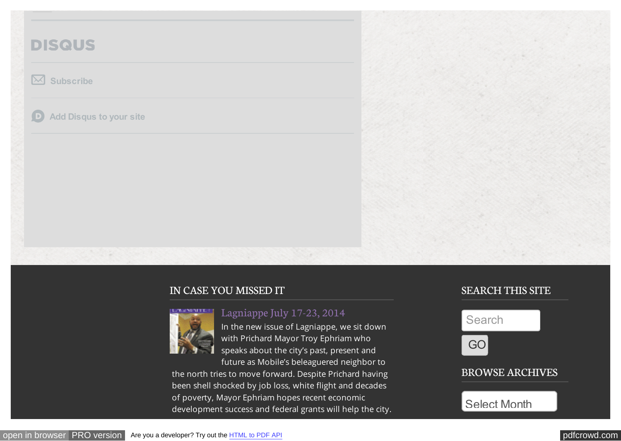## **DISQUS**

#### $\mathbb{M}$ **[Subscribe](#page-0-0)**

**[Add Disqus to your site](https://disqus.com/websites/?utm_source=lagniappemobile&utm_medium=Disqus-Footer)**  $\Box$ 

#### IN CASE YOU MISSED IT



In the new issue of Lagniappe, we sit down with Prichard Mayor Troy Ephriam who speaks about the city's past, present and future as Mobile's beleaguered neighbor to

the north tries to move forward. Despite Prichard having been shell shocked by job loss, white flight and decades of poverty, Mayor Ephriam hopes recent economic development success and federal grants will help the city.

[Lagniappe July 17-23, 2014](http://www.pageturnpro.com/Lagniappe/59689-Lagniappe-071714/index.html#1)

#### SEARCH THIS SITE



#### BROWSE ARCHIVES

Select Month